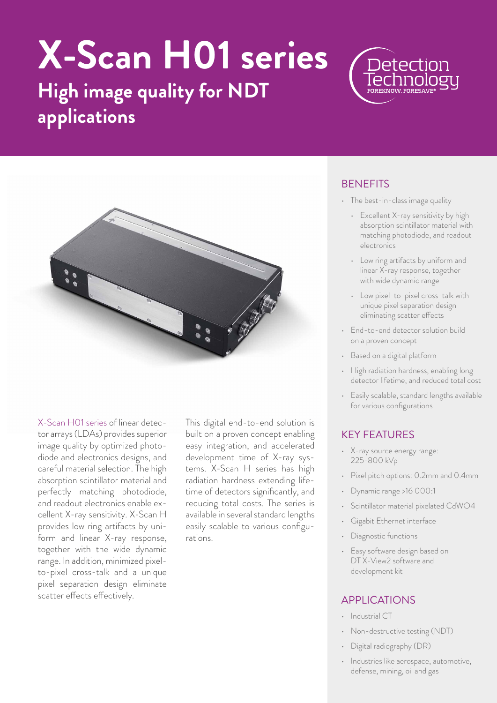# **X-Scan H01 series**

## **High image quality for NDT applications**



X-Scan H01 series of linear detector arrays (LDAs) provides superior image quality by optimized photodiode and electronics designs, and careful material selection. The high absorption scintillator material and perfectly matching photodiode, and readout electronics enable excellent X-ray sensitivity. X-Scan H provides low ring artifacts by uniform and linear X-ray response, together with the wide dynamic range. In addition, minimized pixelto-pixel cross-talk and a unique pixel separation design eliminate scatter effects effectively.

This digital end-to-end solution is built on a proven concept enabling easy integration, and accelerated development time of X-ray systems. X-Scan H series has high radiation hardness extending lifetime of detectors significantly, and reducing total costs. The series is available in several standard lengths easily scalable to various configurations.

#### **BENEFITS**

• The best-in-class image quality

Neter

- Excellent X-ray sensitivity by high absorption scintillator material with matching photodiode, and readout electronics
- Low ring artifacts by uniform and linear X-ray response, together with wide dynamic range
- Low pixel-to-pixel cross-talk with unique pixel separation design eliminating scatter effects
- End-to-end detector solution build on a proven concept
- Based on a digital platform
- High radiation hardness, enabling long detector lifetime, and reduced total cost
- Easily scalable, standard lengths available for various configurations

### KEY FEATURES

- X-ray source energy range: 225-800 kVp
- Pixel pitch options: 0.2mm and 0.4mm
- Dynamic range >16 000:1
- Scintillator material pixelated CdWO4
- Gigabit Ethernet interface
- Diagnostic functions
- Easy software design based on DT X-View2 software and development kit

#### APPLICATIONS

- Industrial CT
- Non-destructive testing (NDT)
- Digital radiography (DR)
- Industries like aerospace, automotive, defense, mining, oil and gas